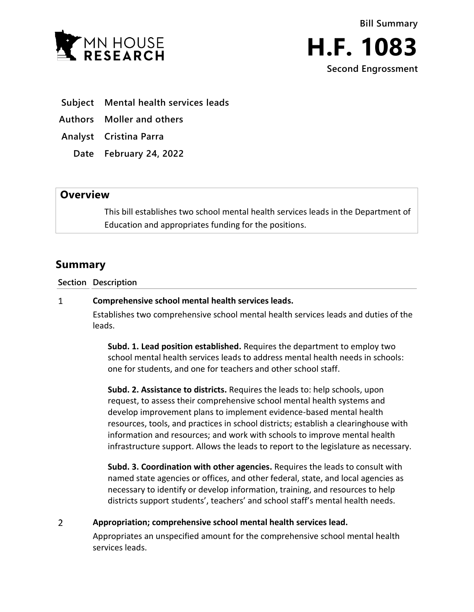



- **Subject Mental health services leads**
- **Authors Moller and others**
- **Analyst Cristina Parra**
	- **Date February 24, 2022**

## **Overview**

This bill establishes two school mental health services leads in the Department of Education and appropriates funding for the positions.

## **Summary**

**Section Description**

## $\mathbf{1}$ **Comprehensive school mental health services leads.**

Establishes two comprehensive school mental health services leads and duties of the leads.

**Subd. 1. Lead position established.** Requires the department to employ two school mental health services leads to address mental health needs in schools: one for students, and one for teachers and other school staff.

**Subd. 2. Assistance to districts.** Requires the leads to: help schools, upon request, to assess their comprehensive school mental health systems and develop improvement plans to implement evidence-based mental health resources, tools, and practices in school districts; establish a clearinghouse with information and resources; and work with schools to improve mental health infrastructure support. Allows the leads to report to the legislature as necessary.

**Subd. 3. Coordination with other agencies.** Requires the leads to consult with named state agencies or offices, and other federal, state, and local agencies as necessary to identify or develop information, training, and resources to help districts support students', teachers' and school staff's mental health needs.

 $\overline{2}$ **Appropriation; comprehensive school mental health services lead.**

> Appropriates an unspecified amount for the comprehensive school mental health services leads.